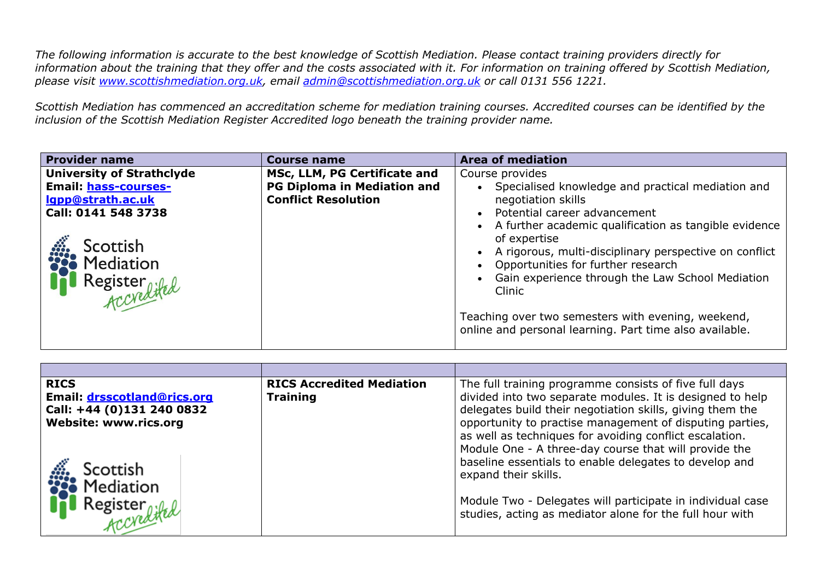*The following information is accurate to the best knowledge of Scottish Mediation. Please contact training providers directly for information about the training that they offer and the costs associated with it. For information on training offered by Scottish Mediation, please visit [www.scottishmediation.org.uk,](http://www.scottishmediation.org.uk/) email [admin@scottishmediation.org.uk](mailto:admin@scottishmediation.org.uk) or call 0131 556 1221.* 

*Scottish Mediation has commenced an accreditation scheme for mediation training courses. Accredited courses can be identified by the inclusion of the Scottish Mediation Register Accredited logo beneath the training provider name.* 

| <b>Provider name</b>                                                                                                                                                            | <b>Course name</b>                                                                               | <b>Area of mediation</b>                                                                                                                                                                                                                                                                                                                                                                                                                                                             |
|---------------------------------------------------------------------------------------------------------------------------------------------------------------------------------|--------------------------------------------------------------------------------------------------|--------------------------------------------------------------------------------------------------------------------------------------------------------------------------------------------------------------------------------------------------------------------------------------------------------------------------------------------------------------------------------------------------------------------------------------------------------------------------------------|
| <b>University of Strathclyde</b><br>Email: hass-courses-<br>lgpp@strath.ac.uk<br>Call: 0141 548 3738<br>Scottish<br><b>SCOLUSII</b><br><b>COLUSII</b><br>Register<br>Accredited | MSc, LLM, PG Certificate and<br><b>PG Diploma in Mediation and</b><br><b>Conflict Resolution</b> | Course provides<br>Specialised knowledge and practical mediation and<br>negotiation skills<br>Potential career advancement<br>• A further academic qualification as tangible evidence<br>of expertise<br>A rigorous, multi-disciplinary perspective on conflict<br>Opportunities for further research<br>Gain experience through the Law School Mediation<br>Clinic<br>Teaching over two semesters with evening, weekend,<br>online and personal learning. Part time also available. |
|                                                                                                                                                                                 |                                                                                                  |                                                                                                                                                                                                                                                                                                                                                                                                                                                                                      |

| <b>RICS</b><br>Email: drsscotland@rics.org<br>Call: +44 (0)131 240 0832<br>Website: www.rics.org<br>Scottish | <b>RICS Accredited Mediation</b><br><b>Training</b> | The full training programme consists of five full days<br>divided into two separate modules. It is designed to help<br>delegates build their negotiation skills, giving them the<br>opportunity to practise management of disputing parties,<br>as well as techniques for avoiding conflict escalation.<br>Module One - A three-day course that will provide the<br>baseline essentials to enable delegates to develop and<br>expand their skills. |
|--------------------------------------------------------------------------------------------------------------|-----------------------------------------------------|----------------------------------------------------------------------------------------------------------------------------------------------------------------------------------------------------------------------------------------------------------------------------------------------------------------------------------------------------------------------------------------------------------------------------------------------------|
| Mediation<br>Register<br>Accredited                                                                          |                                                     | Module Two - Delegates will participate in individual case<br>studies, acting as mediator alone for the full hour with                                                                                                                                                                                                                                                                                                                             |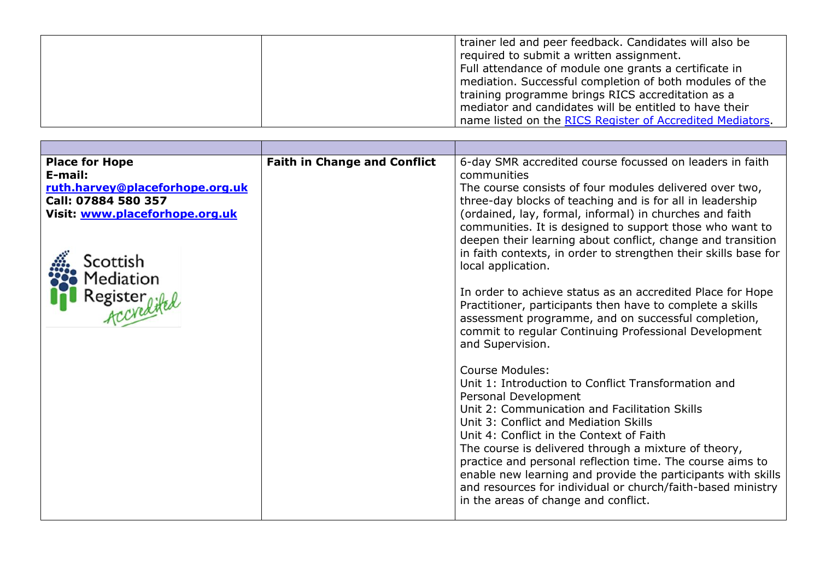| trainer led and peer feedback. Candidates will also be<br>required to submit a written assignment.<br>Full attendance of module one grants a certificate in<br>mediation. Successful completion of both modules of the<br>training programme brings RICS accreditation as a |
|-----------------------------------------------------------------------------------------------------------------------------------------------------------------------------------------------------------------------------------------------------------------------------|
| mediator and candidates will be entitled to have their<br>name listed on the RICS Register of Accredited Mediators.                                                                                                                                                         |

| <b>Place for Hope</b><br>E-mail:<br>ruth.harvey@placeforhope.org.uk<br>Call: 07884 580 357<br>Visit: www.placeforhope.org.uk<br>Scottish<br>Mediation<br>Register<br>Accoredited | <b>Faith in Change and Conflict</b> | 6-day SMR accredited course focussed on leaders in faith<br>communities<br>The course consists of four modules delivered over two,<br>three-day blocks of teaching and is for all in leadership<br>(ordained, lay, formal, informal) in churches and faith<br>communities. It is designed to support those who want to<br>deepen their learning about conflict, change and transition<br>in faith contexts, in order to strengthen their skills base for<br>local application.<br>In order to achieve status as an accredited Place for Hope<br>Practitioner, participants then have to complete a skills<br>assessment programme, and on successful completion,<br>commit to regular Continuing Professional Development<br>and Supervision. |
|----------------------------------------------------------------------------------------------------------------------------------------------------------------------------------|-------------------------------------|-----------------------------------------------------------------------------------------------------------------------------------------------------------------------------------------------------------------------------------------------------------------------------------------------------------------------------------------------------------------------------------------------------------------------------------------------------------------------------------------------------------------------------------------------------------------------------------------------------------------------------------------------------------------------------------------------------------------------------------------------|
|                                                                                                                                                                                  |                                     | <b>Course Modules:</b><br>Unit 1: Introduction to Conflict Transformation and<br>Personal Development<br>Unit 2: Communication and Facilitation Skills<br>Unit 3: Conflict and Mediation Skills<br>Unit 4: Conflict in the Context of Faith<br>The course is delivered through a mixture of theory,<br>practice and personal reflection time. The course aims to<br>enable new learning and provide the participants with skills<br>and resources for individual or church/faith-based ministry<br>in the areas of change and conflict.                                                                                                                                                                                                       |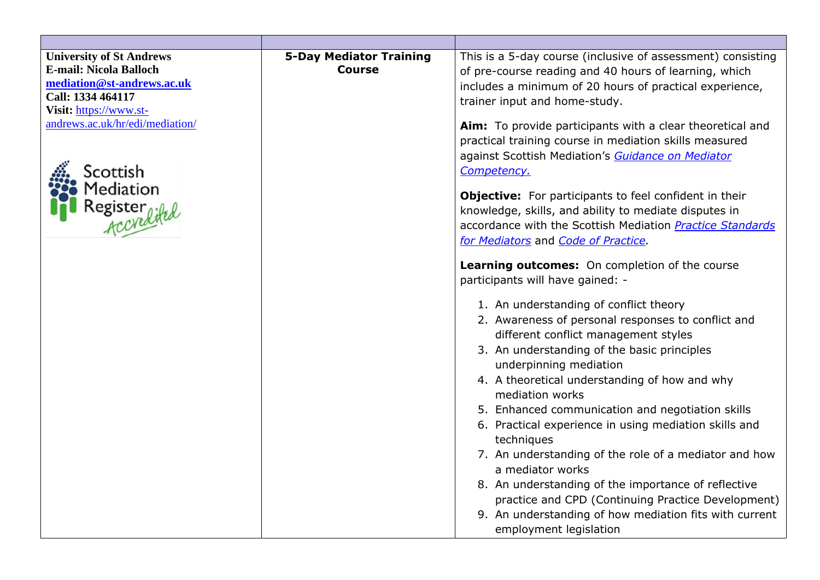| <b>University of St Andrews</b><br><b>E-mail: Nicola Balloch</b><br>mediation@st-andrews.ac.uk<br>Call: 1334 464117<br>Visit: https://www.st-<br>andrews.ac.uk/hr/edi/mediation/<br>icottish<br>Mediation<br>Register<br><i>Accyelike</i> | <b>5-Day Mediator Training</b><br><b>Course</b> | This is a 5-day course (inclusive of assessment) consisting<br>of pre-course reading and 40 hours of learning, which<br>includes a minimum of 20 hours of practical experience,<br>trainer input and home-study.<br>Aim: To provide participants with a clear theoretical and<br>practical training course in mediation skills measured<br>against Scottish Mediation's Guidance on Mediator<br>Competency.<br><b>Objective:</b> For participants to feel confident in their<br>knowledge, skills, and ability to mediate disputes in<br>accordance with the Scottish Mediation Practice Standards<br>for Mediators and Code of Practice.<br>Learning outcomes: On completion of the course<br>participants will have gained: -<br>1. An understanding of conflict theory<br>2. Awareness of personal responses to conflict and<br>different conflict management styles<br>3. An understanding of the basic principles<br>underpinning mediation<br>4. A theoretical understanding of how and why<br>mediation works<br>5. Enhanced communication and negotiation skills<br>6. Practical experience in using mediation skills and<br>techniques<br>7. An understanding of the role of a mediator and how<br>a mediator works<br>8. An understanding of the importance of reflective<br>practice and CPD (Continuing Practice Development)<br>9. An understanding of how mediation fits with current<br>employment legislation |
|-------------------------------------------------------------------------------------------------------------------------------------------------------------------------------------------------------------------------------------------|-------------------------------------------------|-------------------------------------------------------------------------------------------------------------------------------------------------------------------------------------------------------------------------------------------------------------------------------------------------------------------------------------------------------------------------------------------------------------------------------------------------------------------------------------------------------------------------------------------------------------------------------------------------------------------------------------------------------------------------------------------------------------------------------------------------------------------------------------------------------------------------------------------------------------------------------------------------------------------------------------------------------------------------------------------------------------------------------------------------------------------------------------------------------------------------------------------------------------------------------------------------------------------------------------------------------------------------------------------------------------------------------------------------------------------------------------------------------------------------------|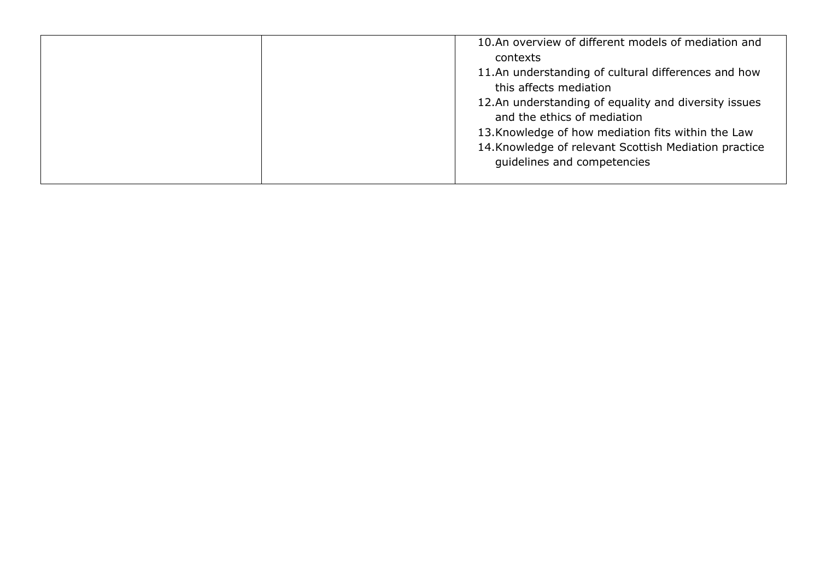| 10.An overview of different models of mediation and                                 |
|-------------------------------------------------------------------------------------|
| contexts                                                                            |
| 11.An understanding of cultural differences and how                                 |
| this affects mediation                                                              |
| 12.An understanding of equality and diversity issues<br>and the ethics of mediation |
| 13. Knowledge of how mediation fits within the Law                                  |
| 14. Knowledge of relevant Scottish Mediation practice                               |
| guidelines and competencies                                                         |
|                                                                                     |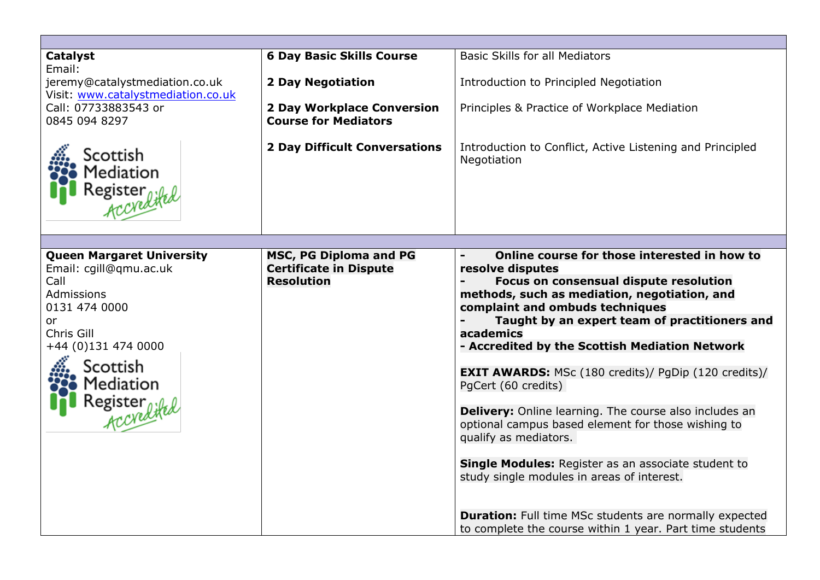| <b>Catalyst</b>                    | <b>6 Day Basic Skills Course</b>     | <b>Basic Skills for all Mediators</b>                         |
|------------------------------------|--------------------------------------|---------------------------------------------------------------|
| Email:                             |                                      |                                                               |
| jeremy@catalystmediation.co.uk     | <b>2 Day Negotiation</b>             | Introduction to Principled Negotiation                        |
| Visit: www.catalystmediation.co.uk |                                      |                                                               |
| Call: 07733883543 or               | <b>2 Day Workplace Conversion</b>    | Principles & Practice of Workplace Mediation                  |
| 0845 094 8297                      | <b>Course for Mediators</b>          |                                                               |
|                                    |                                      |                                                               |
| Scottish                           | <b>2 Day Difficult Conversations</b> | Introduction to Conflict, Active Listening and Principled     |
|                                    |                                      | Negotiation                                                   |
| Mediation                          |                                      |                                                               |
|                                    |                                      |                                                               |
| Register<br>Accredited             |                                      |                                                               |
|                                    |                                      |                                                               |
|                                    |                                      |                                                               |
| <b>Queen Margaret University</b>   | MSC, PG Diploma and PG               | Online course for those interested in how to                  |
| Email: cgill@qmu.ac.uk             | <b>Certificate in Dispute</b>        | resolve disputes                                              |
| Call                               | <b>Resolution</b>                    | Focus on consensual dispute resolution                        |
| Admissions                         |                                      | methods, such as mediation, negotiation, and                  |
| 0131 474 0000                      |                                      | complaint and ombuds techniques                               |
| 0r                                 |                                      | Taught by an expert team of practitioners and                 |
| Chris Gill                         |                                      | academics                                                     |
| +44 (0)131 474 0000                |                                      | - Accredited by the Scottish Mediation Network                |
|                                    |                                      |                                                               |
| Scottish                           |                                      | <b>EXIT AWARDS:</b> MSc (180 credits)/ PgDip (120 credits)/   |
| Mediation                          |                                      | PgCert (60 credits)                                           |
| Register<br>Accredited             |                                      |                                                               |
|                                    |                                      | <b>Delivery:</b> Online learning. The course also includes an |
|                                    |                                      | optional campus based element for those wishing to            |
|                                    |                                      | qualify as mediators.                                         |
|                                    |                                      |                                                               |
|                                    |                                      | <b>Single Modules:</b> Register as an associate student to    |
|                                    |                                      | study single modules in areas of interest.                    |
|                                    |                                      |                                                               |
|                                    |                                      | <b>Duration:</b> Full time MSc students are normally expected |
|                                    |                                      | to complete the course within 1 year. Part time students      |
|                                    |                                      |                                                               |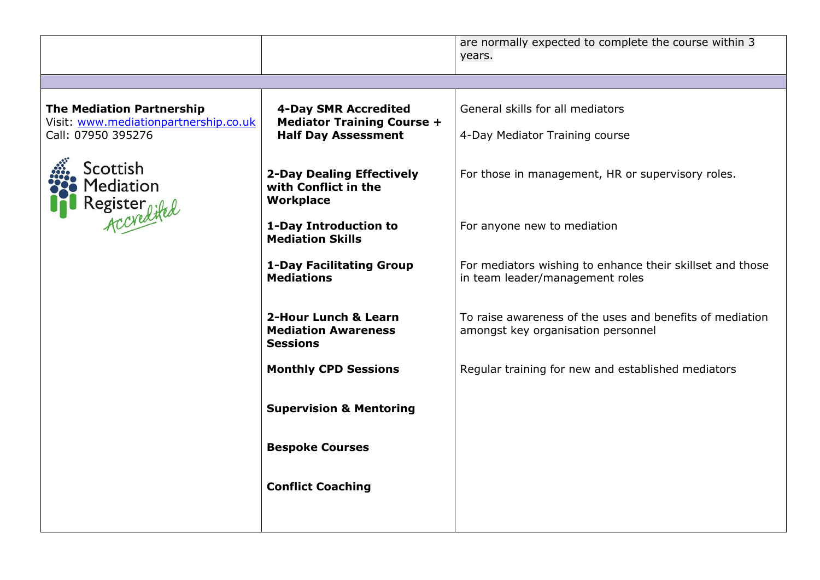|                                                                           |                                                                              | are normally expected to complete the course within 3<br>years.                                |
|---------------------------------------------------------------------------|------------------------------------------------------------------------------|------------------------------------------------------------------------------------------------|
|                                                                           |                                                                              |                                                                                                |
| <b>The Mediation Partnership</b><br>Visit: www.mediationpartnership.co.uk | <b>4-Day SMR Accredited</b><br><b>Mediator Training Course +</b>             | General skills for all mediators                                                               |
| Call: 07950 395276                                                        | <b>Half Day Assessment</b>                                                   | 4-Day Mediator Training course                                                                 |
| Scottish<br>Mediation<br>Register<br>Accredited                           | <b>2-Day Dealing Effectively</b><br>with Conflict in the<br><b>Workplace</b> | For those in management, HR or supervisory roles.                                              |
|                                                                           | 1-Day Introduction to<br><b>Mediation Skills</b>                             | For anyone new to mediation                                                                    |
|                                                                           | <b>1-Day Facilitating Group</b><br><b>Mediations</b>                         | For mediators wishing to enhance their skillset and those<br>in team leader/management roles   |
|                                                                           | 2-Hour Lunch & Learn<br><b>Mediation Awareness</b><br><b>Sessions</b>        | To raise awareness of the uses and benefits of mediation<br>amongst key organisation personnel |
|                                                                           | <b>Monthly CPD Sessions</b>                                                  | Regular training for new and established mediators                                             |
|                                                                           | <b>Supervision &amp; Mentoring</b>                                           |                                                                                                |
|                                                                           | <b>Bespoke Courses</b>                                                       |                                                                                                |
|                                                                           | <b>Conflict Coaching</b>                                                     |                                                                                                |
|                                                                           |                                                                              |                                                                                                |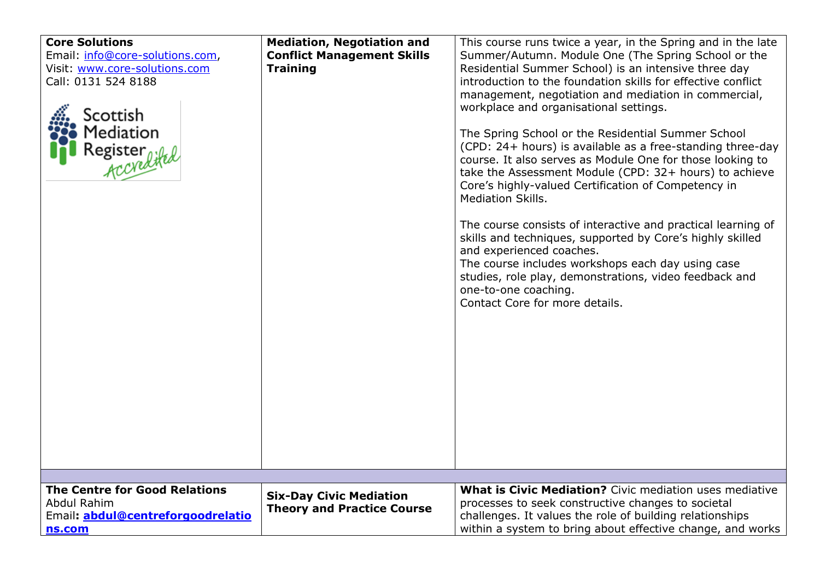| <b>Core Solutions</b><br>Email: info@core-solutions.com,<br>Visit: www.core-solutions.com<br>Call: 0131 524 8188<br>Scottish<br>Mediation<br>Register<br>Accredited | <b>Mediation, Negotiation and</b><br><b>Conflict Management Skills</b><br><b>Training</b> | This course runs twice a year, in the Spring and in the late<br>Summer/Autumn. Module One (The Spring School or the<br>Residential Summer School) is an intensive three day<br>introduction to the foundation skills for effective conflict<br>management, negotiation and mediation in commercial,<br>workplace and organisational settings.<br>The Spring School or the Residential Summer School<br>(CPD: 24+ hours) is available as a free-standing three-day<br>course. It also serves as Module One for those looking to<br>take the Assessment Module (CPD: 32+ hours) to achieve<br>Core's highly-valued Certification of Competency in<br><b>Mediation Skills.</b><br>The course consists of interactive and practical learning of<br>skills and techniques, supported by Core's highly skilled<br>and experienced coaches.<br>The course includes workshops each day using case<br>studies, role play, demonstrations, video feedback and<br>one-to-one coaching.<br>Contact Core for more details. |
|---------------------------------------------------------------------------------------------------------------------------------------------------------------------|-------------------------------------------------------------------------------------------|---------------------------------------------------------------------------------------------------------------------------------------------------------------------------------------------------------------------------------------------------------------------------------------------------------------------------------------------------------------------------------------------------------------------------------------------------------------------------------------------------------------------------------------------------------------------------------------------------------------------------------------------------------------------------------------------------------------------------------------------------------------------------------------------------------------------------------------------------------------------------------------------------------------------------------------------------------------------------------------------------------------|
| <b>The Centre for Good Relations</b><br>Abdul Rahim<br>Email: abdul@centreforgoodrelatio<br>ns.com                                                                  | <b>Six-Day Civic Mediation</b><br><b>Theory and Practice Course</b>                       | What is Civic Mediation? Civic mediation uses mediative<br>processes to seek constructive changes to societal<br>challenges. It values the role of building relationships<br>within a system to bring about effective change, and works                                                                                                                                                                                                                                                                                                                                                                                                                                                                                                                                                                                                                                                                                                                                                                       |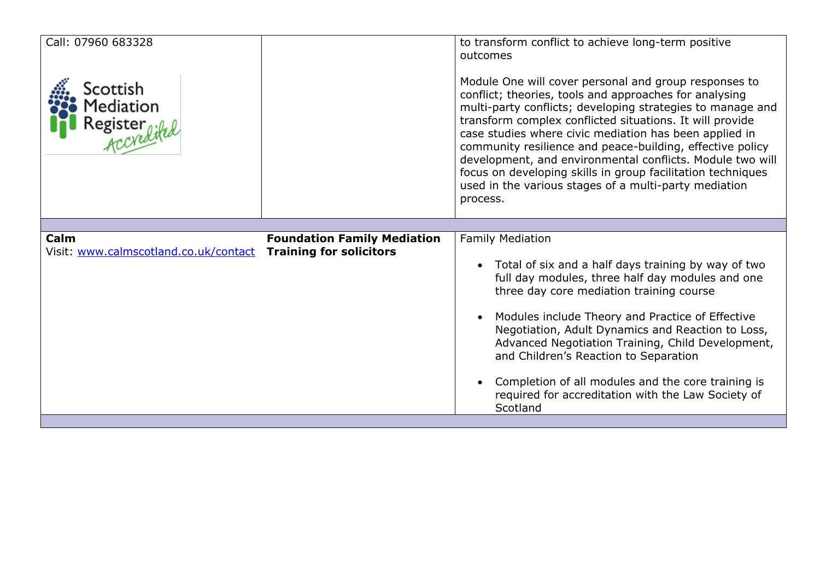| Call: 07960 683328<br>Scottish<br>Mediation<br>Register<br>Accyclifed |                                    | to transform conflict to achieve long-term positive<br>outcomes<br>Module One will cover personal and group responses to<br>conflict; theories, tools and approaches for analysing<br>multi-party conflicts; developing strategies to manage and<br>transform complex conflicted situations. It will provide<br>case studies where civic mediation has been applied in<br>community resilience and peace-building, effective policy<br>development, and environmental conflicts. Module two will<br>focus on developing skills in group facilitation techniques<br>used in the various stages of a multi-party mediation<br>process. |
|-----------------------------------------------------------------------|------------------------------------|--------------------------------------------------------------------------------------------------------------------------------------------------------------------------------------------------------------------------------------------------------------------------------------------------------------------------------------------------------------------------------------------------------------------------------------------------------------------------------------------------------------------------------------------------------------------------------------------------------------------------------------|
| Calm                                                                  | <b>Foundation Family Mediation</b> | <b>Family Mediation</b>                                                                                                                                                                                                                                                                                                                                                                                                                                                                                                                                                                                                              |
| Visit: www.calmscotland.co.uk/contact                                 | <b>Training for solicitors</b>     | Total of six and a half days training by way of two<br>full day modules, three half day modules and one<br>three day core mediation training course<br>Modules include Theory and Practice of Effective<br>Negotiation, Adult Dynamics and Reaction to Loss,<br>Advanced Negotiation Training, Child Development,<br>and Children's Reaction to Separation<br>Completion of all modules and the core training is<br>required for accreditation with the Law Society of<br>Scotland                                                                                                                                                   |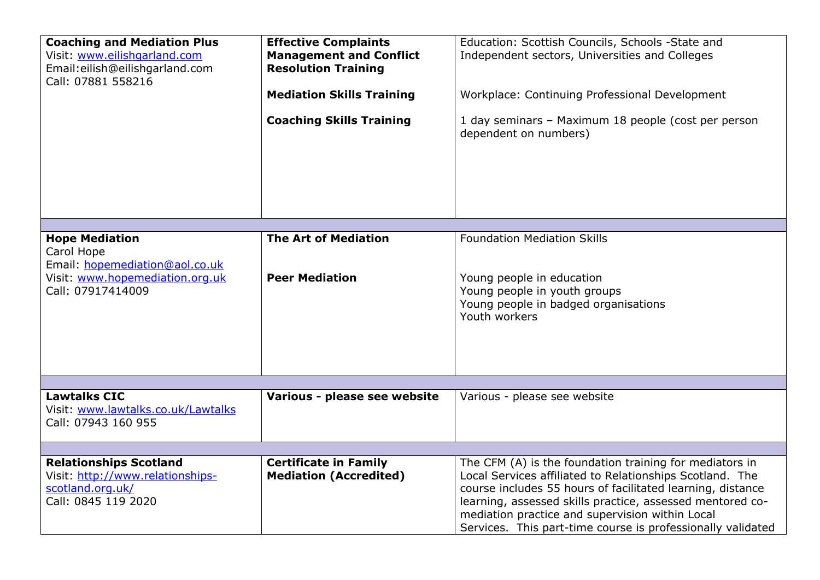| <b>Coaching and Mediation Plus</b><br>Visit: www.eilishgarland.com<br>Email:eilish@eilishgarland.com<br>Call: 07881 558216    | <b>Effective Complaints</b><br><b>Management and Conflict</b><br><b>Resolution Training</b><br><b>Mediation Skills Training</b><br><b>Coaching Skills Training</b> | Education: Scottish Councils, Schools -State and<br>Independent sectors, Universities and Colleges<br>Workplace: Continuing Professional Development<br>1 day seminars - Maximum 18 people (cost per person<br>dependent on numbers)                                                                                                                             |
|-------------------------------------------------------------------------------------------------------------------------------|--------------------------------------------------------------------------------------------------------------------------------------------------------------------|------------------------------------------------------------------------------------------------------------------------------------------------------------------------------------------------------------------------------------------------------------------------------------------------------------------------------------------------------------------|
|                                                                                                                               |                                                                                                                                                                    |                                                                                                                                                                                                                                                                                                                                                                  |
| <b>Hope Mediation</b><br>Carol Hope<br>Email: hopemediation@aol.co.uk<br>Visit: www.hopemediation.org.uk<br>Call: 07917414009 | <b>The Art of Mediation</b><br><b>Peer Mediation</b>                                                                                                               | <b>Foundation Mediation Skills</b><br>Young people in education<br>Young people in youth groups<br>Young people in badged organisations<br>Youth workers                                                                                                                                                                                                         |
|                                                                                                                               |                                                                                                                                                                    |                                                                                                                                                                                                                                                                                                                                                                  |
| <b>Lawtalks CIC</b><br>Visit: www.lawtalks.co.uk/Lawtalks<br>Call: 07943 160 955                                              | Various - please see website                                                                                                                                       | Various - please see website                                                                                                                                                                                                                                                                                                                                     |
|                                                                                                                               |                                                                                                                                                                    |                                                                                                                                                                                                                                                                                                                                                                  |
| <b>Relationships Scotland</b><br>Visit: http://www.relationships-<br>scotland.org.uk/<br>Call: 0845 119 2020                  | <b>Certificate in Family</b><br><b>Mediation (Accredited)</b>                                                                                                      | The CFM (A) is the foundation training for mediators in<br>Local Services affiliated to Relationships Scotland. The<br>course includes 55 hours of facilitated learning, distance<br>learning, assessed skills practice, assessed mentored co-<br>mediation practice and supervision within Local<br>Services. This part-time course is professionally validated |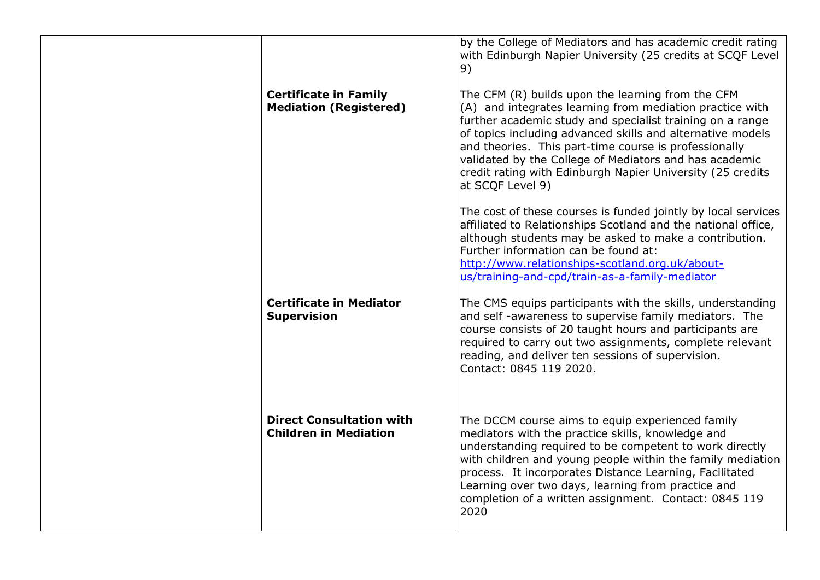|                                                                 | by the College of Mediators and has academic credit rating<br>with Edinburgh Napier University (25 credits at SCQF Level<br>9)                                                                                                                                                                                                                                                                                                                |
|-----------------------------------------------------------------|-----------------------------------------------------------------------------------------------------------------------------------------------------------------------------------------------------------------------------------------------------------------------------------------------------------------------------------------------------------------------------------------------------------------------------------------------|
| <b>Certificate in Family</b><br><b>Mediation (Registered)</b>   | The CFM (R) builds upon the learning from the CFM<br>(A) and integrates learning from mediation practice with<br>further academic study and specialist training on a range<br>of topics including advanced skills and alternative models<br>and theories. This part-time course is professionally<br>validated by the College of Mediators and has academic<br>credit rating with Edinburgh Napier University (25 credits<br>at SCQF Level 9) |
|                                                                 | The cost of these courses is funded jointly by local services<br>affiliated to Relationships Scotland and the national office,<br>although students may be asked to make a contribution.<br>Further information can be found at:<br>http://www.relationships-scotland.org.uk/about-<br>us/training-and-cpd/train-as-a-family-mediator                                                                                                         |
| <b>Certificate in Mediator</b><br><b>Supervision</b>            | The CMS equips participants with the skills, understanding<br>and self-awareness to supervise family mediators. The<br>course consists of 20 taught hours and participants are<br>required to carry out two assignments, complete relevant<br>reading, and deliver ten sessions of supervision.<br>Contact: 0845 119 2020.                                                                                                                    |
| <b>Direct Consultation with</b><br><b>Children in Mediation</b> | The DCCM course aims to equip experienced family<br>mediators with the practice skills, knowledge and<br>understanding required to be competent to work directly<br>with children and young people within the family mediation<br>process. It incorporates Distance Learning, Facilitated<br>Learning over two days, learning from practice and<br>completion of a written assignment. Contact: 0845 119<br>2020                              |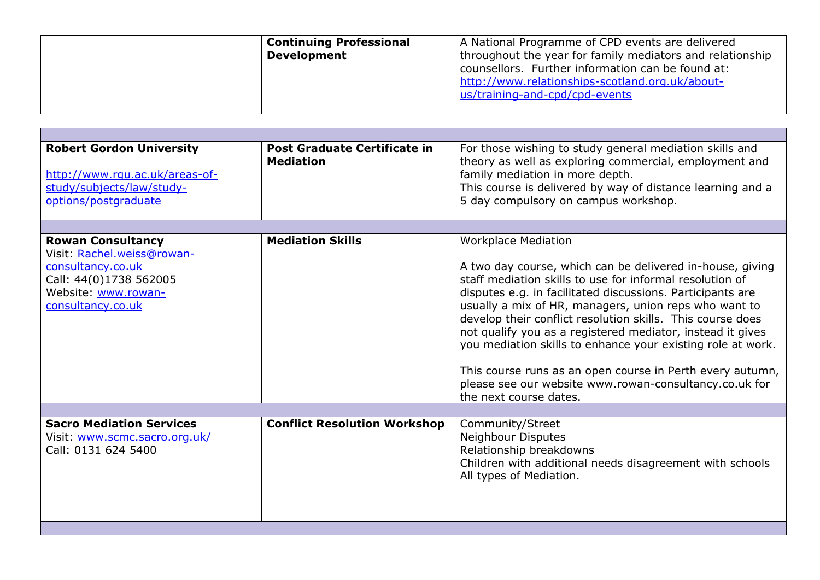| <b>Continuing Professional</b><br><b>Development</b> | A National Programme of CPD events are delivered<br>throughout the year for family mediators and relationship<br>counsellors. Further information can be found at:<br>http://www.relationships-scotland.org.uk/about-<br>us/training-and-cpd/cpd-events |
|------------------------------------------------------|---------------------------------------------------------------------------------------------------------------------------------------------------------------------------------------------------------------------------------------------------------|
|                                                      |                                                                                                                                                                                                                                                         |

| <b>Robert Gordon University</b><br>http://www.rqu.ac.uk/areas-of-<br>study/subjects/law/study-<br>options/postgraduate                            | Post Graduate Certificate in<br><b>Mediation</b> | For those wishing to study general mediation skills and<br>theory as well as exploring commercial, employment and<br>family mediation in more depth.<br>This course is delivered by way of distance learning and a<br>5 day compulsory on campus workshop.                                                                                                                                                                                                                                                                                                                                                             |
|---------------------------------------------------------------------------------------------------------------------------------------------------|--------------------------------------------------|------------------------------------------------------------------------------------------------------------------------------------------------------------------------------------------------------------------------------------------------------------------------------------------------------------------------------------------------------------------------------------------------------------------------------------------------------------------------------------------------------------------------------------------------------------------------------------------------------------------------|
|                                                                                                                                                   |                                                  |                                                                                                                                                                                                                                                                                                                                                                                                                                                                                                                                                                                                                        |
| <b>Rowan Consultancy</b><br>Visit: Rachel.weiss@rowan-<br>consultancy.co.uk<br>Call: 44(0)1738 562005<br>Website: www.rowan-<br>consultancy.co.uk | <b>Mediation Skills</b>                          | <b>Workplace Mediation</b><br>A two day course, which can be delivered in-house, giving<br>staff mediation skills to use for informal resolution of<br>disputes e.g. in facilitated discussions. Participants are<br>usually a mix of HR, managers, union reps who want to<br>develop their conflict resolution skills. This course does<br>not qualify you as a registered mediator, instead it gives<br>you mediation skills to enhance your existing role at work.<br>This course runs as an open course in Perth every autumn,<br>please see our website www.rowan-consultancy.co.uk for<br>the next course dates. |
|                                                                                                                                                   |                                                  |                                                                                                                                                                                                                                                                                                                                                                                                                                                                                                                                                                                                                        |
| <b>Sacro Mediation Services</b><br>Visit: www.scmc.sacro.org.uk/<br>Call: 0131 624 5400                                                           | <b>Conflict Resolution Workshop</b>              | Community/Street<br>Neighbour Disputes<br>Relationship breakdowns<br>Children with additional needs disagreement with schools<br>All types of Mediation.                                                                                                                                                                                                                                                                                                                                                                                                                                                               |
|                                                                                                                                                   |                                                  |                                                                                                                                                                                                                                                                                                                                                                                                                                                                                                                                                                                                                        |